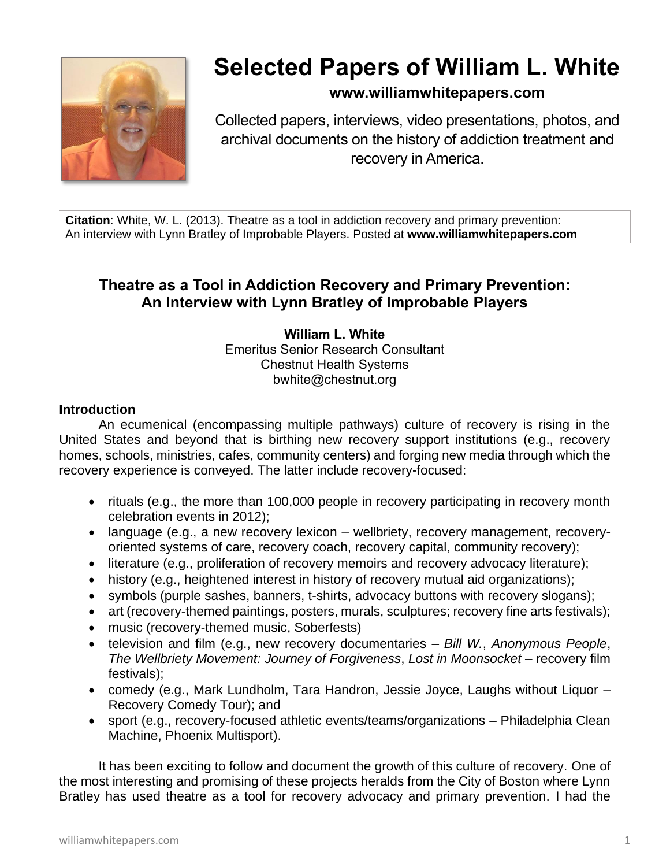

# **Selected Papers of William L. White**

## **www.williamwhitepapers.com**

Collected papers, interviews, video presentations, photos, and archival documents on the history of addiction treatment and recovery in America.

**Citation**: White, W. L. (2013). Theatre as a tool in addiction recovery and primary prevention: An interview with Lynn Bratley of Improbable Players. Posted at **www.williamwhitepapers.com**

## **Theatre as a Tool in Addiction Recovery and Primary Prevention: An Interview with Lynn Bratley of Improbable Players**

#### **William L. White** Emeritus Senior Research Consultant Chestnut Health Systems bwhite@chestnut.org

#### **Introduction**

An ecumenical (encompassing multiple pathways) culture of recovery is rising in the United States and beyond that is birthing new recovery support institutions (e.g., recovery homes, schools, ministries, cafes, community centers) and forging new media through which the recovery experience is conveyed. The latter include recovery-focused:

- rituals (e.g., the more than 100,000 people in recovery participating in recovery month celebration events in 2012);
- language (e.g., a new recovery lexicon wellbriety, recovery management, recoveryoriented systems of care, recovery coach, recovery capital, community recovery);
- literature (e.g., proliferation of recovery memoirs and recovery advocacy literature);
- history (e.g., heightened interest in history of recovery mutual aid organizations);
- symbols (purple sashes, banners, t-shirts, advocacy buttons with recovery slogans);
- art (recovery-themed paintings, posters, murals, sculptures; recovery fine arts festivals);
- music (recovery-themed music, Soberfests)
- television and film (e.g., new recovery documentaries *Bill W.*, *Anonymous People*, *The Wellbriety Movement: Journey of Forgiveness*, *Lost in Moonsocket* – recovery film festivals);
- comedy (e.g., Mark Lundholm, Tara Handron, Jessie Joyce, Laughs without Liquor Recovery Comedy Tour); and
- sport (e.g., recovery-focused athletic events/teams/organizations Philadelphia Clean Machine, Phoenix Multisport).

It has been exciting to follow and document the growth of this culture of recovery. One of the most interesting and promising of these projects heralds from the City of Boston where Lynn Bratley has used theatre as a tool for recovery advocacy and primary prevention. I had the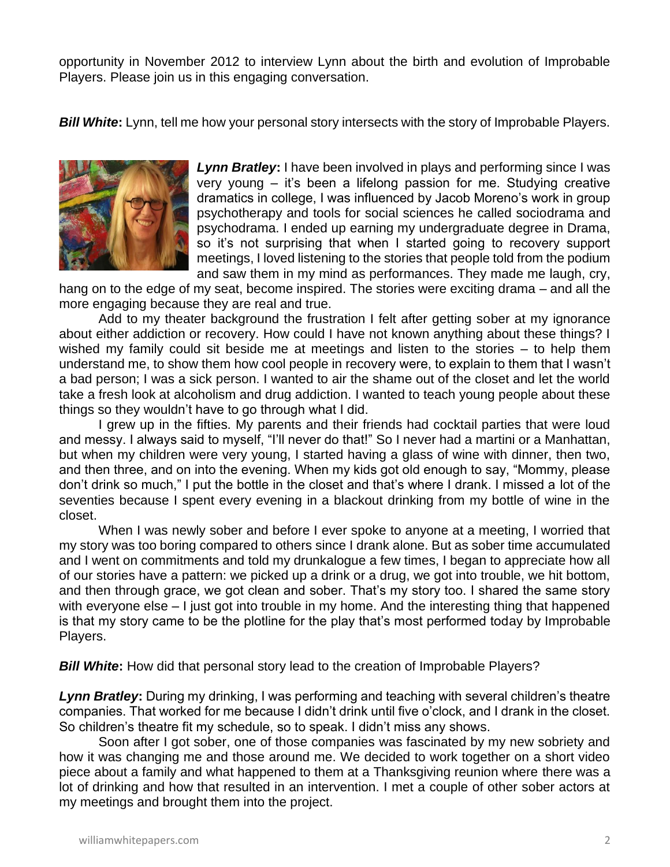opportunity in November 2012 to interview Lynn about the birth and evolution of Improbable Players. Please join us in this engaging conversation.

*Bill White***:** Lynn, tell me how your personal story intersects with the story of Improbable Players.



*Lynn Bratley***:** I have been involved in plays and performing since I was very young – it's been a lifelong passion for me. Studying creative dramatics in college, I was influenced by Jacob Moreno's work in group psychotherapy and tools for social sciences he called sociodrama and psychodrama. I ended up earning my undergraduate degree in Drama, so it's not surprising that when I started going to recovery support meetings, I loved listening to the stories that people told from the podium and saw them in my mind as performances. They made me laugh, cry,

hang on to the edge of my seat, become inspired. The stories were exciting drama – and all the more engaging because they are real and true.

Add to my theater background the frustration I felt after getting sober at my ignorance about either addiction or recovery. How could I have not known anything about these things? I wished my family could sit beside me at meetings and listen to the stories – to help them understand me, to show them how cool people in recovery were, to explain to them that I wasn't a bad person; I was a sick person. I wanted to air the shame out of the closet and let the world take a fresh look at alcoholism and drug addiction. I wanted to teach young people about these things so they wouldn't have to go through what I did.

I grew up in the fifties. My parents and their friends had cocktail parties that were loud and messy. I always said to myself, "I'll never do that!" So I never had a martini or a Manhattan, but when my children were very young, I started having a glass of wine with dinner, then two, and then three, and on into the evening. When my kids got old enough to say, "Mommy, please don't drink so much," I put the bottle in the closet and that's where I drank. I missed a lot of the seventies because I spent every evening in a blackout drinking from my bottle of wine in the closet.

When I was newly sober and before I ever spoke to anyone at a meeting, I worried that my story was too boring compared to others since I drank alone. But as sober time accumulated and I went on commitments and told my drunkalogue a few times, I began to appreciate how all of our stories have a pattern: we picked up a drink or a drug, we got into trouble, we hit bottom, and then through grace, we got clean and sober. That's my story too. I shared the same story with everyone else – I just got into trouble in my home. And the interesting thing that happened is that my story came to be the plotline for the play that's most performed today by Improbable Players.

**Bill White:** How did that personal story lead to the creation of Improbable Players?

*Lynn Bratley***:** During my drinking, I was performing and teaching with several children's theatre companies. That worked for me because I didn't drink until five o'clock, and I drank in the closet. So children's theatre fit my schedule, so to speak. I didn't miss any shows.

Soon after I got sober, one of those companies was fascinated by my new sobriety and how it was changing me and those around me. We decided to work together on a short video piece about a family and what happened to them at a Thanksgiving reunion where there was a lot of drinking and how that resulted in an intervention. I met a couple of other sober actors at my meetings and brought them into the project.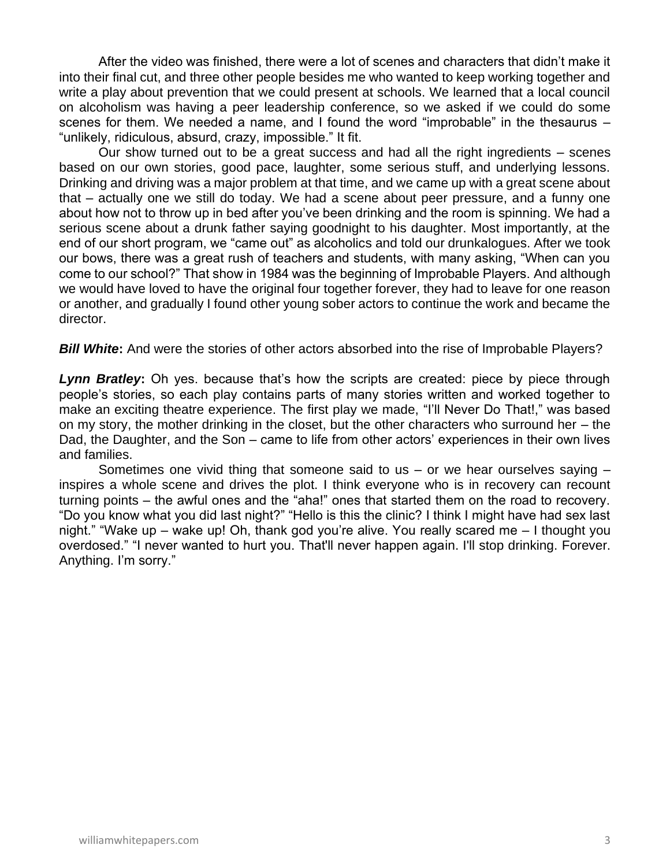After the video was finished, there were a lot of scenes and characters that didn't make it into their final cut, and three other people besides me who wanted to keep working together and write a play about prevention that we could present at schools. We learned that a local council on alcoholism was having a peer leadership conference, so we asked if we could do some scenes for them. We needed a name, and I found the word "improbable" in the thesaurus – "unlikely, ridiculous, absurd, crazy, impossible." It fit.

Our show turned out to be a great success and had all the right ingredients – scenes based on our own stories, good pace, laughter, some serious stuff, and underlying lessons. Drinking and driving was a major problem at that time, and we came up with a great scene about that – actually one we still do today. We had a scene about peer pressure, and a funny one about how not to throw up in bed after you've been drinking and the room is spinning. We had a serious scene about a drunk father saying goodnight to his daughter. Most importantly, at the end of our short program, we "came out" as alcoholics and told our drunkalogues. After we took our bows, there was a great rush of teachers and students, with many asking, "When can you come to our school?" That show in 1984 was the beginning of Improbable Players. And although we would have loved to have the original four together forever, they had to leave for one reason or another, and gradually I found other young sober actors to continue the work and became the director.

**Bill White:** And were the stories of other actors absorbed into the rise of Improbable Players?

**Lynn Bratley:** Oh yes. because that's how the scripts are created: piece by piece through people's stories, so each play contains parts of many stories written and worked together to make an exciting theatre experience. The first play we made, "I'll Never Do That!," was based on my story, the mother drinking in the closet, but the other characters who surround her – the Dad, the Daughter, and the Son – came to life from other actors' experiences in their own lives and families.

Sometimes one vivid thing that someone said to us  $-$  or we hear ourselves saying  $$ inspires a whole scene and drives the plot. I think everyone who is in recovery can recount turning points – the awful ones and the "aha!" ones that started them on the road to recovery. "Do you know what you did last night?" "Hello is this the clinic? I think I might have had sex last night." "Wake up – wake up! Oh, thank god you're alive. You really scared me – I thought you overdosed." "I never wanted to hurt you. That'll never happen again. I'll stop drinking. Forever. Anything. I'm sorry."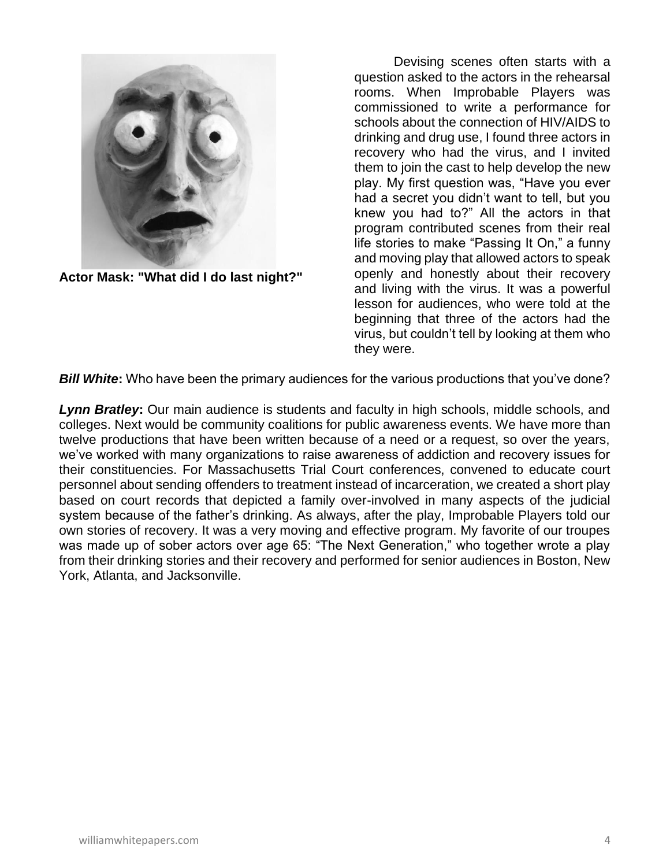

**Actor Mask: "What did I do last night?"**

Devising scenes often starts with a question asked to the actors in the rehearsal rooms. When Improbable Players was commissioned to write a performance for schools about the connection of HIV/AIDS to drinking and drug use, I found three actors in recovery who had the virus, and I invited them to join the cast to help develop the new play. My first question was, "Have you ever had a secret you didn't want to tell, but you knew you had to?" All the actors in that program contributed scenes from their real life stories to make "Passing It On," a funny and moving play that allowed actors to speak openly and honestly about their recovery and living with the virus. It was a powerful lesson for audiences, who were told at the beginning that three of the actors had the virus, but couldn't tell by looking at them who they were.

**Bill White:** Who have been the primary audiences for the various productions that you've done?

*Lynn Bratley***:** Our main audience is students and faculty in high schools, middle schools, and colleges. Next would be community coalitions for public awareness events. We have more than twelve productions that have been written because of a need or a request, so over the years, we've worked with many organizations to raise awareness of addiction and recovery issues for their constituencies. For Massachusetts Trial Court conferences, convened to educate court personnel about sending offenders to treatment instead of incarceration, we created a short play based on court records that depicted a family over-involved in many aspects of the judicial system because of the father's drinking. As always, after the play, Improbable Players told our own stories of recovery. It was a very moving and effective program. My favorite of our troupes was made up of sober actors over age 65: "The Next Generation," who together wrote a play from their drinking stories and their recovery and performed for senior audiences in Boston, New York, Atlanta, and Jacksonville.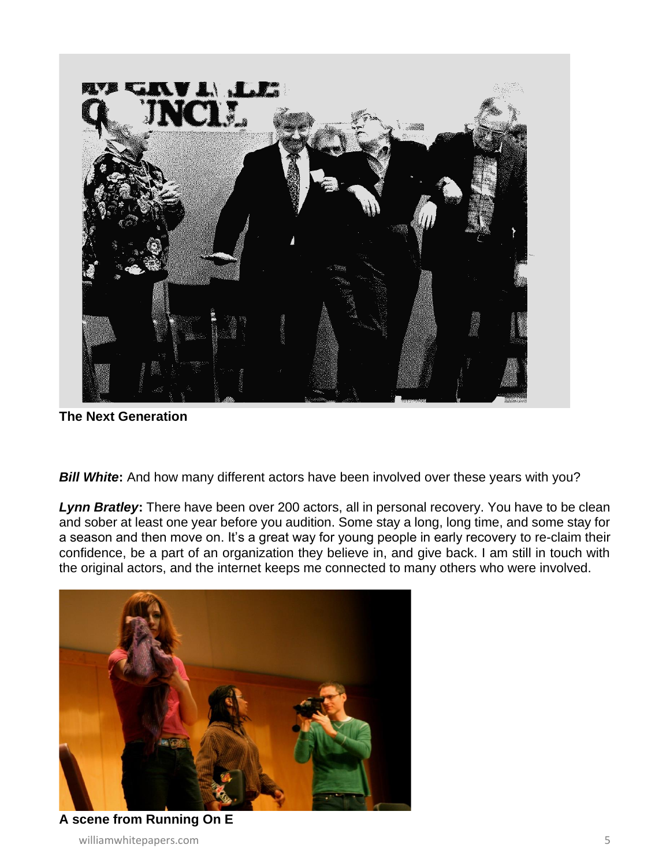

**The Next Generation**

**Bill White:** And how many different actors have been involved over these years with you?

*Lynn Bratley***:** There have been over 200 actors, all in personal recovery. You have to be clean and sober at least one year before you audition. Some stay a long, long time, and some stay for a season and then move on. It's a great way for young people in early recovery to re-claim their confidence, be a part of an organization they believe in, and give back. I am still in touch with the original actors, and the internet keeps me connected to many others who were involved.



williamwhitepapers.com 5 **A scene from Running On E**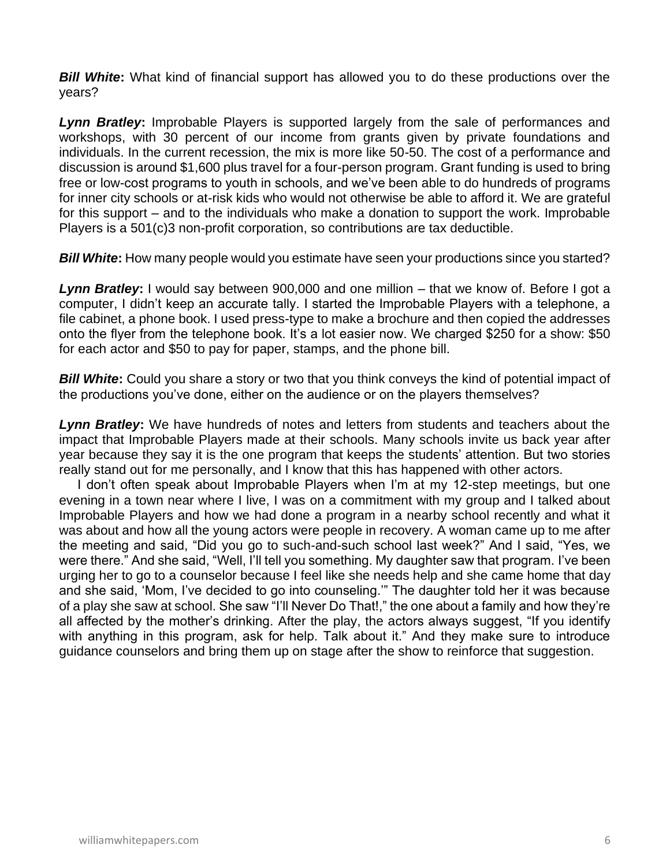**Bill White:** What kind of financial support has allowed you to do these productions over the years?

*Lynn Bratley***:** Improbable Players is supported largely from the sale of performances and workshops, with 30 percent of our income from grants given by private foundations and individuals. In the current recession, the mix is more like 50-50. The cost of a performance and discussion is around \$1,600 plus travel for a four-person program. Grant funding is used to bring free or low-cost programs to youth in schools, and we've been able to do hundreds of programs for inner city schools or at-risk kids who would not otherwise be able to afford it. We are grateful for this support – and to the individuals who make a donation to support the work. Improbable Players is a 501(c)3 non-profit corporation, so contributions are tax deductible.

*Bill White***:** How many people would you estimate have seen your productions since you started?

*Lynn Bratley***:** I would say between 900,000 and one million – that we know of. Before I got a computer, I didn't keep an accurate tally. I started the Improbable Players with a telephone, a file cabinet, a phone book. I used press-type to make a brochure and then copied the addresses onto the flyer from the telephone book. It's a lot easier now. We charged \$250 for a show: \$50 for each actor and \$50 to pay for paper, stamps, and the phone bill.

*Bill White***:** Could you share a story or two that you think conveys the kind of potential impact of the productions you've done, either on the audience or on the players themselves?

*Lynn Bratley***:** We have hundreds of notes and letters from students and teachers about the impact that Improbable Players made at their schools. Many schools invite us back year after year because they say it is the one program that keeps the students' attention. But two stories really stand out for me personally, and I know that this has happened with other actors.

 I don't often speak about Improbable Players when I'm at my 12-step meetings, but one evening in a town near where I live, I was on a commitment with my group and I talked about Improbable Players and how we had done a program in a nearby school recently and what it was about and how all the young actors were people in recovery. A woman came up to me after the meeting and said, "Did you go to such-and-such school last week?" And I said, "Yes, we were there." And she said, "Well, I'll tell you something. My daughter saw that program. I've been urging her to go to a counselor because I feel like she needs help and she came home that day and she said, 'Mom, I've decided to go into counseling.'" The daughter told her it was because of a play she saw at school. She saw "I'll Never Do That!," the one about a family and how they're all affected by the mother's drinking. After the play, the actors always suggest, "If you identify with anything in this program, ask for help. Talk about it." And they make sure to introduce guidance counselors and bring them up on stage after the show to reinforce that suggestion.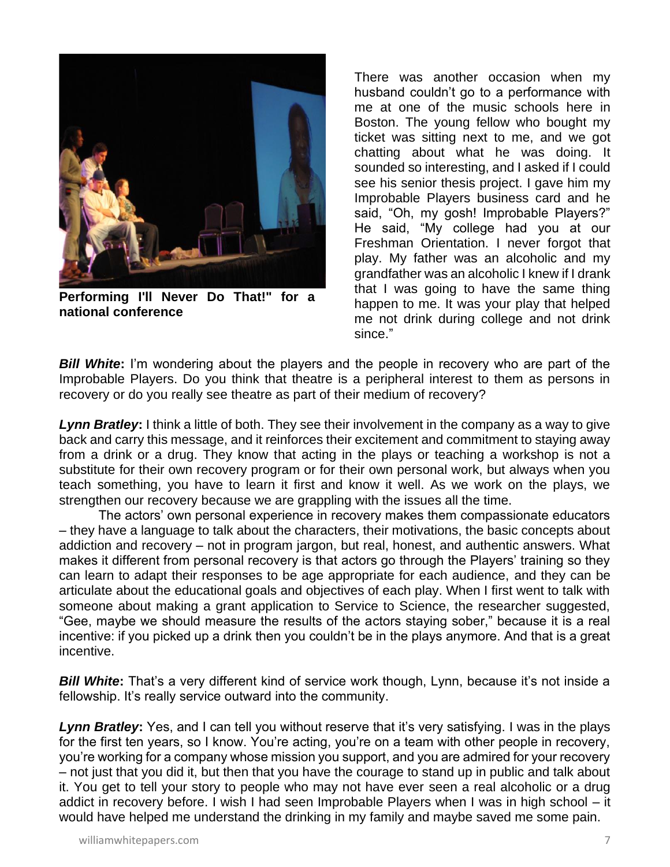

**Performing I'll Never Do That!" for a national conference**

There was another occasion when my husband couldn't go to a performance with me at one of the music schools here in Boston. The young fellow who bought my ticket was sitting next to me, and we got chatting about what he was doing. It sounded so interesting, and I asked if I could see his senior thesis project. I gave him my Improbable Players business card and he said, "Oh, my gosh! Improbable Players?" He said, "My college had you at our Freshman Orientation. I never forgot that play. My father was an alcoholic and my grandfather was an alcoholic I knew if I drank that I was going to have the same thing happen to me. It was your play that helped me not drink during college and not drink since."

**Bill White:** I'm wondering about the players and the people in recovery who are part of the Improbable Players. Do you think that theatre is a peripheral interest to them as persons in recovery or do you really see theatre as part of their medium of recovery?

*Lynn Bratley***:** I think a little of both. They see their involvement in the company as a way to give back and carry this message, and it reinforces their excitement and commitment to staying away from a drink or a drug. They know that acting in the plays or teaching a workshop is not a substitute for their own recovery program or for their own personal work, but always when you teach something, you have to learn it first and know it well. As we work on the plays, we strengthen our recovery because we are grappling with the issues all the time.

The actors' own personal experience in recovery makes them compassionate educators – they have a language to talk about the characters, their motivations, the basic concepts about addiction and recovery – not in program jargon, but real, honest, and authentic answers. What makes it different from personal recovery is that actors go through the Players' training so they can learn to adapt their responses to be age appropriate for each audience, and they can be articulate about the educational goals and objectives of each play. When I first went to talk with someone about making a grant application to Service to Science, the researcher suggested, "Gee, maybe we should measure the results of the actors staying sober," because it is a real incentive: if you picked up a drink then you couldn't be in the plays anymore. And that is a great incentive.

**Bill White:** That's a very different kind of service work though, Lynn, because it's not inside a fellowship. It's really service outward into the community.

**Lynn Bratley:** Yes, and I can tell you without reserve that it's very satisfying. I was in the plays for the first ten years, so I know. You're acting, you're on a team with other people in recovery, you're working for a company whose mission you support, and you are admired for your recovery – not just that you did it, but then that you have the courage to stand up in public and talk about it. You get to tell your story to people who may not have ever seen a real alcoholic or a drug addict in recovery before. I wish I had seen Improbable Players when I was in high school – it would have helped me understand the drinking in my family and maybe saved me some pain.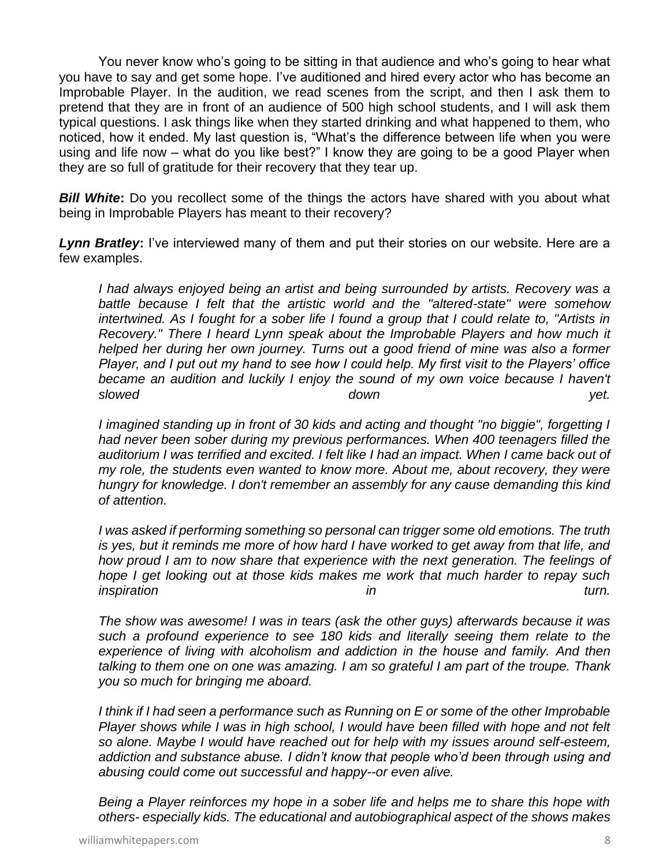You never know who's going to be sitting in that audience and who's going to hear what you have to say and get some hope. I've auditioned and hired every actor who has become an Improbable Player. In the audition, we read scenes from the script, and then I ask them to pretend that they are in front of an audience of 500 high school students, and I will ask them typical questions. I ask things like when they started drinking and what happened to them, who noticed, how it ended. My last question is, "What's the difference between life when you were using and life now – what do you like best?" I know they are going to be a good Player when they are so full of gratitude for their recovery that they tear up.

**Bill White:** Do you recollect some of the things the actors have shared with you about what being in Improbable Players has meant to their recovery?

*Lynn Bratley***:** I've interviewed many of them and put their stories on our website. Here are a few examples.

*I had always enjoyed being an artist and being surrounded by artists. Recovery was a battle because I felt that the artistic world and the "altered-state" were somehow intertwined. As I fought for a sober life I found a group that I could relate to, "Artists in Recovery." There I heard Lynn speak about the Improbable Players and how much it helped her during her own journey. Turns out a good friend of mine was also a former Player, and I put out my hand to see how I could help. My first visit to the Players' office became an audition and luckily I enjoy the sound of my own voice because I haven't slowed down yet.* 

*I imagined standing up in front of 30 kids and acting and thought "no biggie", forgetting I had never been sober during my previous performances. When 400 teenagers filled the auditorium I was terrified and excited. I felt like I had an impact. When I came back out of my role, the students even wanted to know more. About me, about recovery, they were hungry for knowledge. I don't remember an assembly for any cause demanding this kind of attention.*

*I was asked if performing something so personal can trigger some old emotions. The truth is yes, but it reminds me more of how hard I have worked to get away from that life, and how proud I am to now share that experience with the next generation. The feelings of hope I get looking out at those kids makes me work that much harder to repay such inspiration in turn.* 

*The show was awesome! I was in tears (ask the other guys) afterwards because it was such a profound experience to see 180 kids and literally seeing them relate to the experience of living with alcoholism and addiction in the house and family. And then talking to them one on one was amazing. I am so grateful I am part of the troupe. Thank you so much for bringing me aboard.*

*I think if I had seen a performance such as Running on E or some of the other Improbable Player shows while I was in high school, I would have been filled with hope and not felt so alone. Maybe I would have reached out for help with my issues around self-esteem, addiction and substance abuse. I didn't know that people who'd been through using and abusing could come out successful and happy--or even alive.*

*Being a Player reinforces my hope in a sober life and helps me to share this hope with others- especially kids. The educational and autobiographical aspect of the shows makes*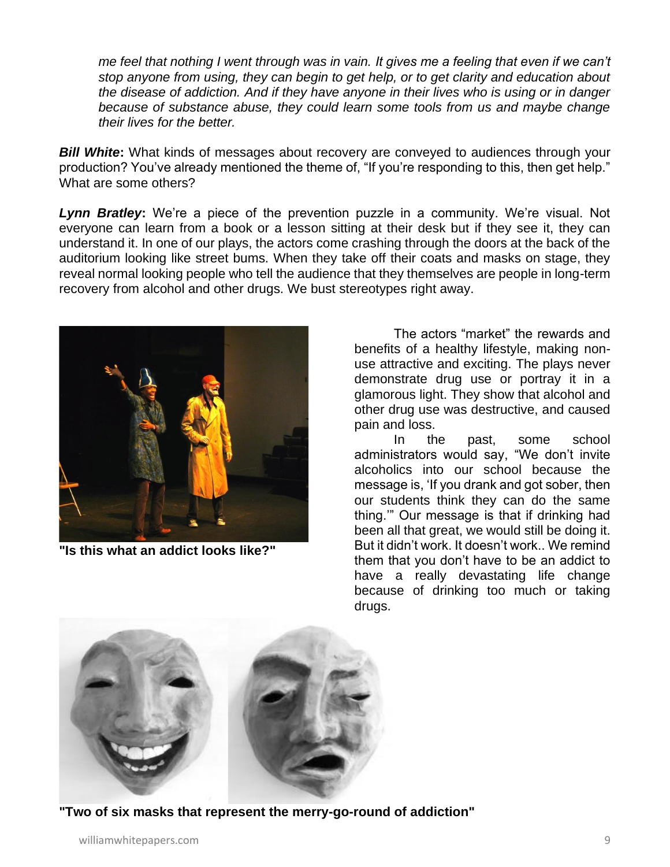*me feel that nothing I went through was in vain. It gives me a feeling that even if we can't stop anyone from using, they can begin to get help, or to get clarity and education about the disease of addiction. And if they have anyone in their lives who is using or in danger because of substance abuse, they could learn some tools from us and maybe change their lives for the better.*

**Bill White:** What kinds of messages about recovery are conveyed to audiences through your production? You've already mentioned the theme of, "If you're responding to this, then get help." What are some others?

*Lynn Bratley***:** We're a piece of the prevention puzzle in a community. We're visual. Not everyone can learn from a book or a lesson sitting at their desk but if they see it, they can understand it. In one of our plays, the actors come crashing through the doors at the back of the auditorium looking like street bums. When they take off their coats and masks on stage, they reveal normal looking people who tell the audience that they themselves are people in long-term recovery from alcohol and other drugs. We bust stereotypes right away.



**"Is this what an addict looks like?"**

The actors "market" the rewards and benefits of a healthy lifestyle, making nonuse attractive and exciting. The plays never demonstrate drug use or portray it in a glamorous light. They show that alcohol and other drug use was destructive, and caused pain and loss.

In the past, some school administrators would say, "We don't invite alcoholics into our school because the message is, 'If you drank and got sober, then our students think they can do the same thing.'" Our message is that if drinking had been all that great, we would still be doing it. But it didn't work. It doesn't work.. We remind them that you don't have to be an addict to have a really devastating life change because of drinking too much or taking drugs.



**"Two of six masks that represent the merry-go-round of addiction"**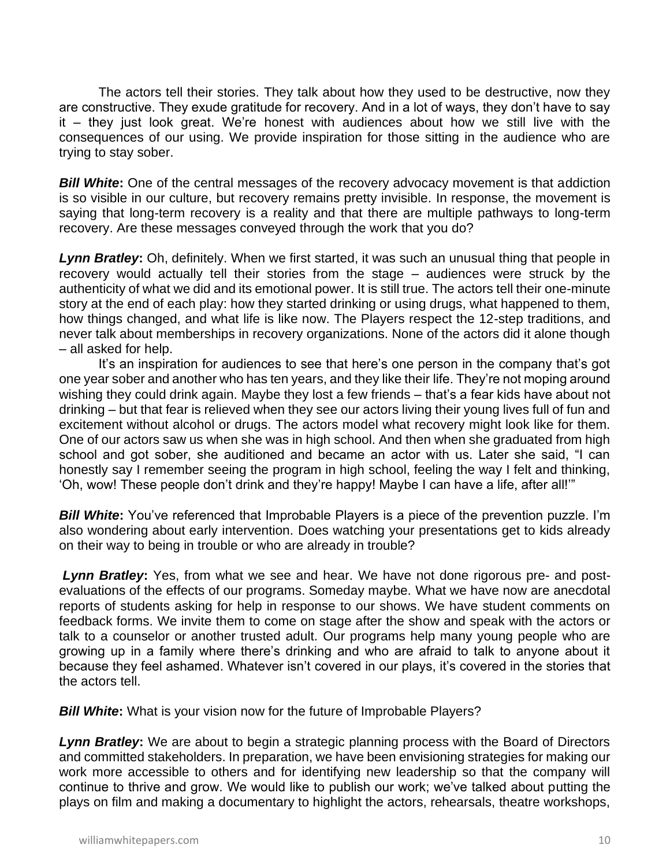The actors tell their stories. They talk about how they used to be destructive, now they are constructive. They exude gratitude for recovery. And in a lot of ways, they don't have to say it – they just look great. We're honest with audiences about how we still live with the consequences of our using. We provide inspiration for those sitting in the audience who are trying to stay sober.

**Bill White:** One of the central messages of the recovery advocacy movement is that addiction is so visible in our culture, but recovery remains pretty invisible. In response, the movement is saying that long-term recovery is a reality and that there are multiple pathways to long-term recovery. Are these messages conveyed through the work that you do?

*Lynn Bratley***:** Oh, definitely. When we first started, it was such an unusual thing that people in recovery would actually tell their stories from the stage – audiences were struck by the authenticity of what we did and its emotional power. It is still true. The actors tell their one-minute story at the end of each play: how they started drinking or using drugs, what happened to them, how things changed, and what life is like now. The Players respect the 12-step traditions, and never talk about memberships in recovery organizations. None of the actors did it alone though – all asked for help.

It's an inspiration for audiences to see that here's one person in the company that's got one year sober and another who has ten years, and they like their life. They're not moping around wishing they could drink again. Maybe they lost a few friends – that's a fear kids have about not drinking – but that fear is relieved when they see our actors living their young lives full of fun and excitement without alcohol or drugs. The actors model what recovery might look like for them. One of our actors saw us when she was in high school. And then when she graduated from high school and got sober, she auditioned and became an actor with us. Later she said, "I can honestly say I remember seeing the program in high school, feeling the way I felt and thinking, 'Oh, wow! These people don't drink and they're happy! Maybe I can have a life, after all!'"

**Bill White:** You've referenced that Improbable Players is a piece of the prevention puzzle. I'm also wondering about early intervention. Does watching your presentations get to kids already on their way to being in trouble or who are already in trouble?

*Lynn Bratley***:** Yes, from what we see and hear. We have not done rigorous pre- and postevaluations of the effects of our programs. Someday maybe. What we have now are anecdotal reports of students asking for help in response to our shows. We have student comments on feedback forms. We invite them to come on stage after the show and speak with the actors or talk to a counselor or another trusted adult. Our programs help many young people who are growing up in a family where there's drinking and who are afraid to talk to anyone about it because they feel ashamed. Whatever isn't covered in our plays, it's covered in the stories that the actors tell.

*Bill White***:** What is your vision now for the future of Improbable Players?

*Lynn Bratley***:** We are about to begin a strategic planning process with the Board of Directors and committed stakeholders. In preparation, we have been envisioning strategies for making our work more accessible to others and for identifying new leadership so that the company will continue to thrive and grow. We would like to publish our work; we've talked about putting the plays on film and making a documentary to highlight the actors, rehearsals, theatre workshops,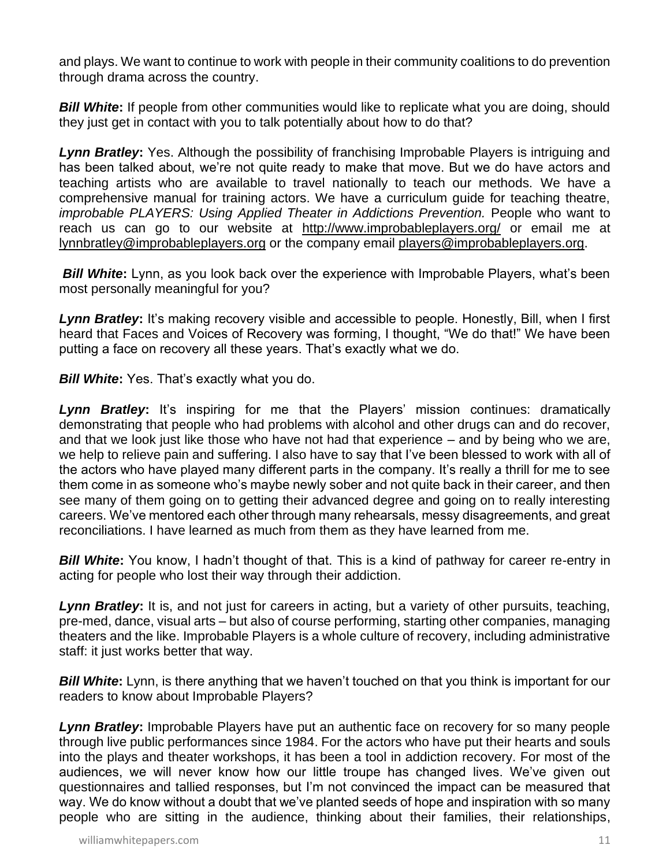and plays. We want to continue to work with people in their community coalitions to do prevention through drama across the country.

**Bill White:** If people from other communities would like to replicate what you are doing, should they just get in contact with you to talk potentially about how to do that?

*Lynn Bratley***:** Yes. Although the possibility of franchising Improbable Players is intriguing and has been talked about, we're not quite ready to make that move. But we do have actors and teaching artists who are available to travel nationally to teach our methods. We have a comprehensive manual for training actors. We have a curriculum guide for teaching theatre, *improbable PLAYERS: Using Applied Theater in Addictions Prevention.* People who want to reach us can go to our website at <http://www.improbableplayers.org/> or email me at [lynnbratley@improbableplayers.org](mailto:lynnbratley@improbableplayers.org) or the company email [players@improbableplayers.org.](mailto:players@improbableplayers.org)

**Bill White:** Lynn, as you look back over the experience with Improbable Players, what's been most personally meaningful for you?

Lynn Bratley: It's making recovery visible and accessible to people. Honestly, Bill, when I first heard that Faces and Voices of Recovery was forming, I thought, "We do that!" We have been putting a face on recovery all these years. That's exactly what we do.

*Bill White***:** Yes. That's exactly what you do.

*Lynn Bratley***:** It's inspiring for me that the Players' mission continues: dramatically demonstrating that people who had problems with alcohol and other drugs can and do recover, and that we look just like those who have not had that experience – and by being who we are, we help to relieve pain and suffering. I also have to say that I've been blessed to work with all of the actors who have played many different parts in the company. It's really a thrill for me to see them come in as someone who's maybe newly sober and not quite back in their career, and then see many of them going on to getting their advanced degree and going on to really interesting careers. We've mentored each other through many rehearsals, messy disagreements, and great reconciliations. I have learned as much from them as they have learned from me.

*Bill White***:** You know, I hadn't thought of that. This is a kind of pathway for career re-entry in acting for people who lost their way through their addiction.

*Lynn Bratley***:** It is, and not just for careers in acting, but a variety of other pursuits, teaching, pre-med, dance, visual arts – but also of course performing, starting other companies, managing theaters and the like. Improbable Players is a whole culture of recovery, including administrative staff: it just works better that way.

*Bill White***:** Lynn, is there anything that we haven't touched on that you think is important for our readers to know about Improbable Players?

*Lynn Bratley***:** Improbable Players have put an authentic face on recovery for so many people through live public performances since 1984. For the actors who have put their hearts and souls into the plays and theater workshops, it has been a tool in addiction recovery. For most of the audiences, we will never know how our little troupe has changed lives. We've given out questionnaires and tallied responses, but I'm not convinced the impact can be measured that way. We do know without a doubt that we've planted seeds of hope and inspiration with so many people who are sitting in the audience, thinking about their families, their relationships,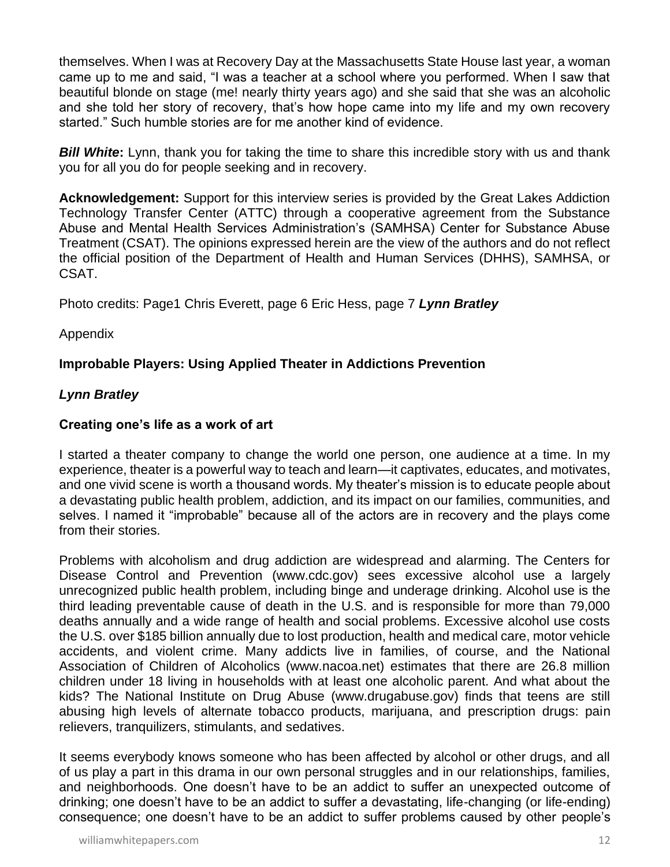themselves. When I was at Recovery Day at the Massachusetts State House last year, a woman came up to me and said, "I was a teacher at a school where you performed. When I saw that beautiful blonde on stage (me! nearly thirty years ago) and she said that she was an alcoholic and she told her story of recovery, that's how hope came into my life and my own recovery started." Such humble stories are for me another kind of evidence.

**Bill White:** Lynn, thank you for taking the time to share this incredible story with us and thank you for all you do for people seeking and in recovery.

**Acknowledgement:** Support for this interview series is provided by the Great Lakes Addiction Technology Transfer Center (ATTC) through a cooperative agreement from the Substance Abuse and Mental Health Services Administration's (SAMHSA) Center for Substance Abuse Treatment (CSAT). The opinions expressed herein are the view of the authors and do not reflect the official position of the Department of Health and Human Services (DHHS), SAMHSA, or CSAT.

Photo credits: Page1 Chris Everett, page 6 Eric Hess, page 7 *Lynn Bratley*

### Appendix

### **Improbable Players: Using Applied Theater in Addictions Prevention**

### *Lynn Bratley*

#### **Creating one's life as a work of art**

I started a theater company to change the world one person, one audience at a time. In my experience, theater is a powerful way to teach and learn—it captivates, educates, and motivates, and one vivid scene is worth a thousand words. My theater's mission is to educate people about a devastating public health problem, addiction, and its impact on our families, communities, and selves. I named it "improbable" because all of the actors are in recovery and the plays come from their stories.

Problems with alcoholism and drug addiction are widespread and alarming. The Centers for Disease Control and Prevention (www.cdc.gov) sees excessive alcohol use a largely unrecognized public health problem, including binge and underage drinking. Alcohol use is the third leading preventable cause of death in the U.S. and is responsible for more than 79,000 deaths annually and a wide range of health and social problems. Excessive alcohol use costs the U.S. over \$185 billion annually due to lost production, health and medical care, motor vehicle accidents, and violent crime. Many addicts live in families, of course, and the National Association of Children of Alcoholics (www.nacoa.net) estimates that there are 26.8 million children under 18 living in households with at least one alcoholic parent. And what about the kids? The National Institute on Drug Abuse (www.drugabuse.gov) finds that teens are still abusing high levels of alternate tobacco products, marijuana, and prescription drugs: pain relievers, tranquilizers, stimulants, and sedatives.

It seems everybody knows someone who has been affected by alcohol or other drugs, and all of us play a part in this drama in our own personal struggles and in our relationships, families, and neighborhoods. One doesn't have to be an addict to suffer an unexpected outcome of drinking; one doesn't have to be an addict to suffer a devastating, life-changing (or life-ending) consequence; one doesn't have to be an addict to suffer problems caused by other people's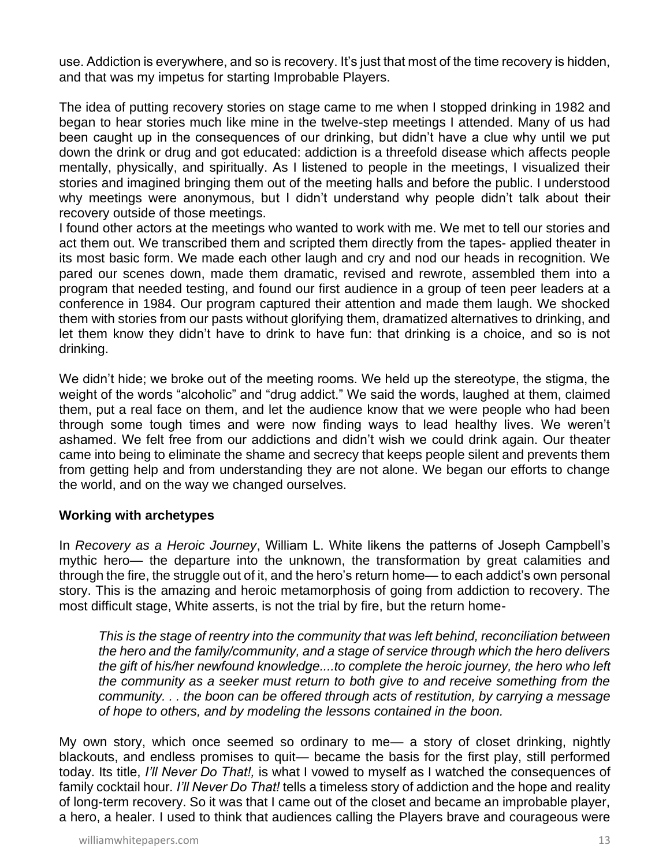use. Addiction is everywhere, and so is recovery. It's just that most of the time recovery is hidden, and that was my impetus for starting Improbable Players.

The idea of putting recovery stories on stage came to me when I stopped drinking in 1982 and began to hear stories much like mine in the twelve-step meetings I attended. Many of us had been caught up in the consequences of our drinking, but didn't have a clue why until we put down the drink or drug and got educated: addiction is a threefold disease which affects people mentally, physically, and spiritually. As I listened to people in the meetings, I visualized their stories and imagined bringing them out of the meeting halls and before the public. I understood why meetings were anonymous, but I didn't understand why people didn't talk about their recovery outside of those meetings.

I found other actors at the meetings who wanted to work with me. We met to tell our stories and act them out. We transcribed them and scripted them directly from the tapes- applied theater in its most basic form. We made each other laugh and cry and nod our heads in recognition. We pared our scenes down, made them dramatic, revised and rewrote, assembled them into a program that needed testing, and found our first audience in a group of teen peer leaders at a conference in 1984. Our program captured their attention and made them laugh. We shocked them with stories from our pasts without glorifying them, dramatized alternatives to drinking, and let them know they didn't have to drink to have fun: that drinking is a choice, and so is not drinking.

We didn't hide; we broke out of the meeting rooms. We held up the stereotype, the stigma, the weight of the words "alcoholic" and "drug addict." We said the words, laughed at them, claimed them, put a real face on them, and let the audience know that we were people who had been through some tough times and were now finding ways to lead healthy lives. We weren't ashamed. We felt free from our addictions and didn't wish we could drink again. Our theater came into being to eliminate the shame and secrecy that keeps people silent and prevents them from getting help and from understanding they are not alone. We began our efforts to change the world, and on the way we changed ourselves.

#### **Working with archetypes**

In *Recovery as a Heroic Journey*, William L. White likens the patterns of Joseph Campbell's mythic hero— the departure into the unknown, the transformation by great calamities and through the fire, the struggle out of it, and the hero's return home— to each addict's own personal story. This is the amazing and heroic metamorphosis of going from addiction to recovery. The most difficult stage, White asserts, is not the trial by fire, but the return home-

*This is the stage of reentry into the community that was left behind, reconciliation between the hero and the family/community, and a stage of service through which the hero delivers the gift of his/her newfound knowledge....to complete the heroic journey, the hero who left the community as a seeker must return to both give to and receive something from the community. . . the boon can be offered through acts of restitution, by carrying a message of hope to others, and by modeling the lessons contained in the boon.* 

My own story, which once seemed so ordinary to me— a story of closet drinking, nightly blackouts, and endless promises to quit— became the basis for the first play, still performed today. Its title, *I'll Never Do That!,* is what I vowed to myself as I watched the consequences of family cocktail hour*. I'll Never Do That!* tells a timeless story of addiction and the hope and reality of long-term recovery. So it was that I came out of the closet and became an improbable player, a hero, a healer. I used to think that audiences calling the Players brave and courageous were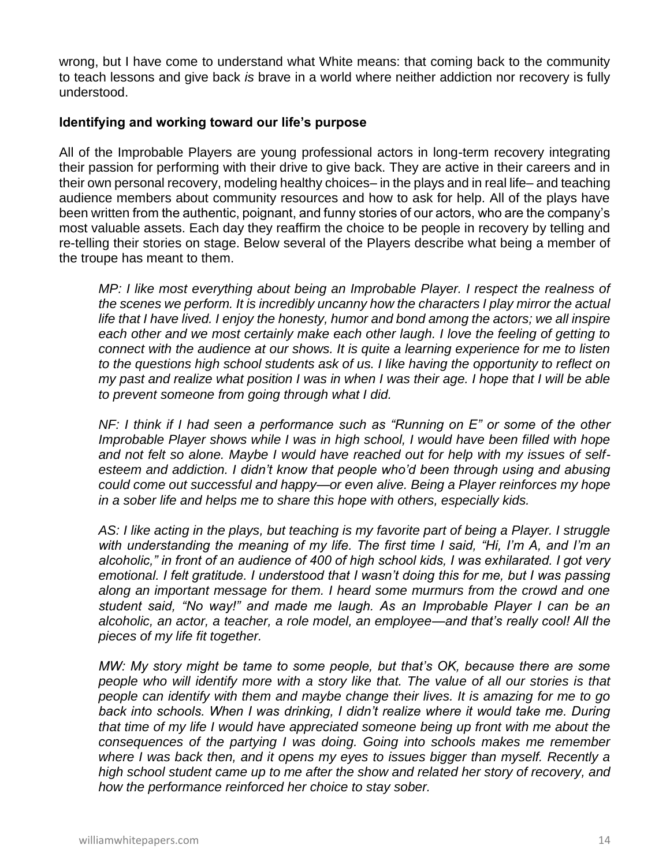wrong, but I have come to understand what White means: that coming back to the community to teach lessons and give back *is* brave in a world where neither addiction nor recovery is fully understood.

#### **Identifying and working toward our life's purpose**

All of the Improbable Players are young professional actors in long-term recovery integrating their passion for performing with their drive to give back. They are active in their careers and in their own personal recovery, modeling healthy choices– in the plays and in real life– and teaching audience members about community resources and how to ask for help. All of the plays have been written from the authentic, poignant, and funny stories of our actors, who are the company's most valuable assets. Each day they reaffirm the choice to be people in recovery by telling and re-telling their stories on stage. Below several of the Players describe what being a member of the troupe has meant to them.

*MP: I like most everything about being an Improbable Player. I respect the realness of the scenes we perform. It is incredibly uncanny how the characters I play mirror the actual life that I have lived. I enjoy the honesty, humor and bond among the actors; we all inspire each other and we most certainly make each other laugh. I love the feeling of getting to connect with the audience at our shows. It is quite a learning experience for me to listen to the questions high school students ask of us. I like having the opportunity to reflect on my past and realize what position I was in when I was their age. I hope that I will be able to prevent someone from going through what I did.* 

*NF: I think if I had seen a performance such as "Running on E" or some of the other Improbable Player shows while I was in high school, I would have been filled with hope and not felt so alone. Maybe I would have reached out for help with my issues of selfesteem and addiction. I didn't know that people who'd been through using and abusing could come out successful and happy—or even alive. Being a Player reinforces my hope in a sober life and helps me to share this hope with others, especially kids.* 

AS: I like acting in the plays, but teaching is my favorite part of being a Player. I struggle *with understanding the meaning of my life. The first time I said, "Hi, I'm A, and I'm an alcoholic," in front of an audience of 400 of high school kids, I was exhilarated. I got very emotional. I felt gratitude. I understood that I wasn't doing this for me, but I was passing along an important message for them. I heard some murmurs from the crowd and one student said, "No way!" and made me laugh. As an Improbable Player I can be an alcoholic, an actor, a teacher, a role model, an employee—and that's really cool! All the pieces of my life fit together.* 

*MW: My story might be tame to some people, but that's OK, because there are some people who will identify more with a story like that. The value of all our stories is that people can identify with them and maybe change their lives. It is amazing for me to go*  back into schools. When I was drinking, I didn't realize where it would take me. During *that time of my life I would have appreciated someone being up front with me about the consequences of the partying I was doing. Going into schools makes me remember where I was back then, and it opens my eyes to issues bigger than myself. Recently a high school student came up to me after the show and related her story of recovery, and how the performance reinforced her choice to stay sober.*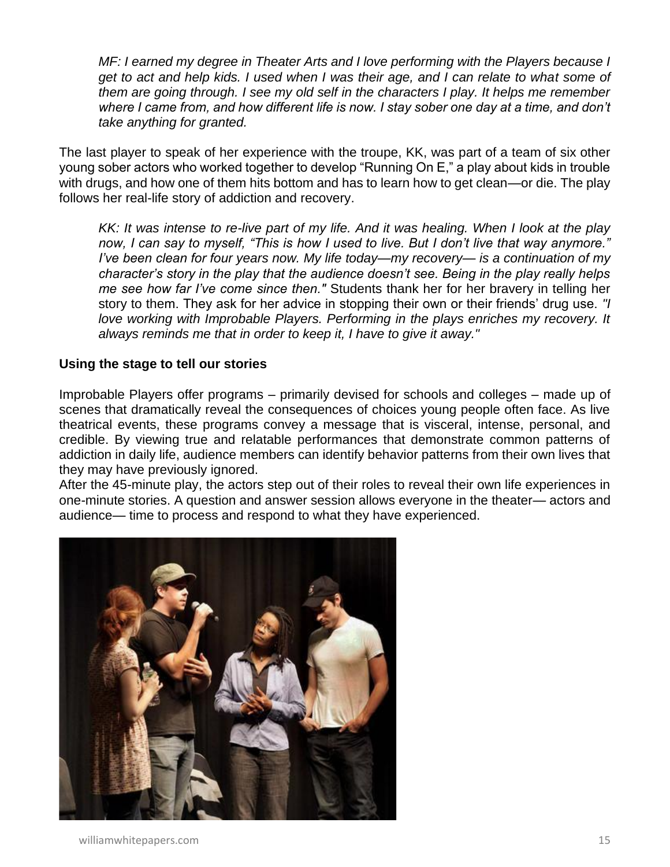*MF: I earned my degree in Theater Arts and I love performing with the Players because I get to act and help kids. I used when I was their age, and I can relate to what some of them are going through. I see my old self in the characters I play. It helps me remember where I came from, and how different life is now. I stay sober one day at a time, and don't take anything for granted.* 

The last player to speak of her experience with the troupe, KK, was part of a team of six other young sober actors who worked together to develop "Running On E," a play about kids in trouble with drugs, and how one of them hits bottom and has to learn how to get clean—or die. The play follows her real-life story of addiction and recovery.

*KK: It was intense to re-live part of my life. And it was healing. When I look at the play now, I can say to myself, "This is how I used to live. But I don't live that way anymore." I've been clean for four years now. My life today—my recovery— is a continuation of my character's story in the play that the audience doesn't see. Being in the play really helps me see how far I've come since then."* Students thank her for her bravery in telling her story to them. They ask for her advice in stopping their own or their friends' drug use. *"I love working with Improbable Players. Performing in the plays enriches my recovery. It always reminds me that in order to keep it, I have to give it away."* 

#### **Using the stage to tell our stories**

Improbable Players offer programs – primarily devised for schools and colleges – made up of scenes that dramatically reveal the consequences of choices young people often face. As live theatrical events, these programs convey a message that is visceral, intense, personal, and credible. By viewing true and relatable performances that demonstrate common patterns of addiction in daily life, audience members can identify behavior patterns from their own lives that they may have previously ignored.

After the 45-minute play, the actors step out of their roles to reveal their own life experiences in one-minute stories. A question and answer session allows everyone in the theater— actors and audience— time to process and respond to what they have experienced.

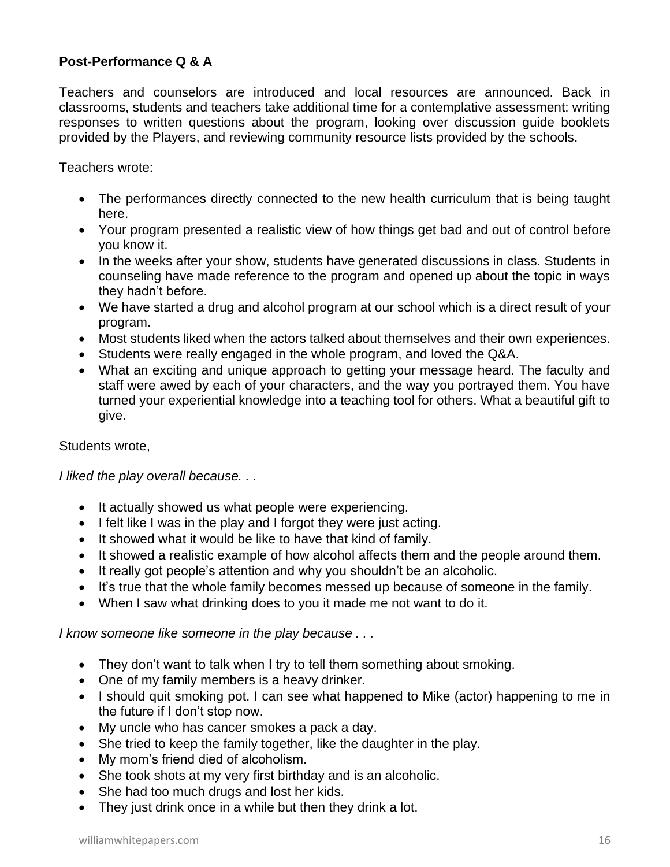### **Post-Performance Q & A**

Teachers and counselors are introduced and local resources are announced. Back in classrooms, students and teachers take additional time for a contemplative assessment: writing responses to written questions about the program, looking over discussion guide booklets provided by the Players, and reviewing community resource lists provided by the schools.

Teachers wrote:

- The performances directly connected to the new health curriculum that is being taught here.
- Your program presented a realistic view of how things get bad and out of control before you know it.
- In the weeks after your show, students have generated discussions in class. Students in counseling have made reference to the program and opened up about the topic in ways they hadn't before.
- We have started a drug and alcohol program at our school which is a direct result of your program.
- Most students liked when the actors talked about themselves and their own experiences.
- Students were really engaged in the whole program, and loved the Q&A.
- What an exciting and unique approach to getting your message heard. The faculty and staff were awed by each of your characters, and the way you portrayed them. You have turned your experiential knowledge into a teaching tool for others. What a beautiful gift to give.

#### Students wrote,

*I liked the play overall because. . .* 

- It actually showed us what people were experiencing.
- I felt like I was in the play and I forgot they were just acting.
- It showed what it would be like to have that kind of family.
- It showed a realistic example of how alcohol affects them and the people around them.
- It really got people's attention and why you shouldn't be an alcoholic.
- It's true that the whole family becomes messed up because of someone in the family.
- When I saw what drinking does to you it made me not want to do it.

*I know someone like someone in the play because . . .* 

- They don't want to talk when I try to tell them something about smoking.
- One of my family members is a heavy drinker.
- I should quit smoking pot. I can see what happened to Mike (actor) happening to me in the future if I don't stop now.
- My uncle who has cancer smokes a pack a day.
- She tried to keep the family together, like the daughter in the play.
- My mom's friend died of alcoholism.
- She took shots at my very first birthday and is an alcoholic.
- She had too much drugs and lost her kids.
- They just drink once in a while but then they drink a lot.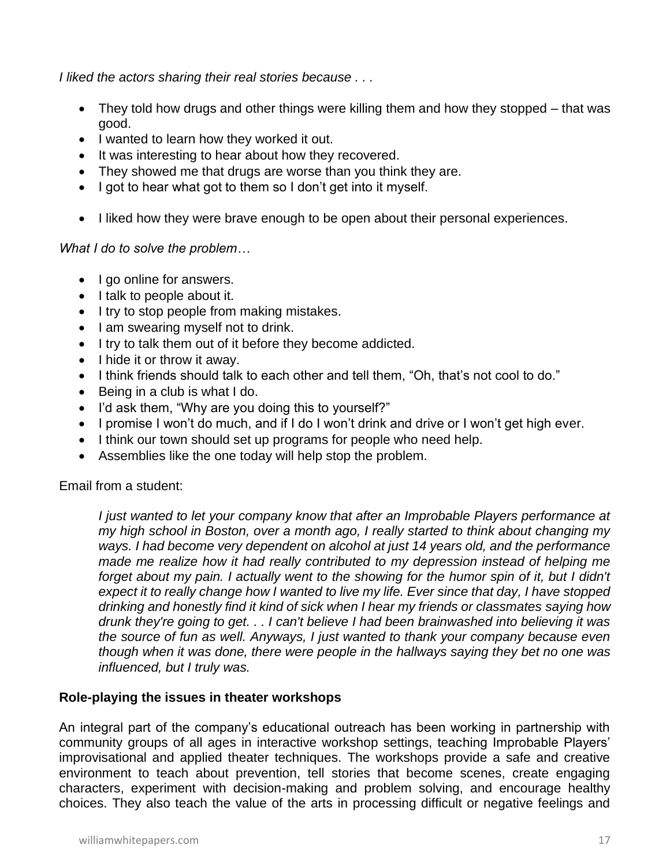*I liked the actors sharing their real stories because . . .* 

- They told how drugs and other things were killing them and how they stopped that was good.
- I wanted to learn how they worked it out.
- It was interesting to hear about how they recovered.
- They showed me that drugs are worse than you think they are.
- I got to hear what got to them so I don't get into it myself.
- I liked how they were brave enough to be open about their personal experiences.

#### *What I do to solve the problem…*

- I go online for answers.
- I talk to people about it.
- I try to stop people from making mistakes.
- I am swearing myself not to drink.
- I try to talk them out of it before they become addicted.
- I hide it or throw it away.
- I think friends should talk to each other and tell them, "Oh, that's not cool to do."
- Being in a club is what I do.
- I'd ask them, "Why are you doing this to yourself?"
- I promise I won't do much, and if I do I won't drink and drive or I won't get high ever.
- I think our town should set up programs for people who need help.
- Assemblies like the one today will help stop the problem.

Email from a student:

*I just wanted to let your company know that after an Improbable Players performance at my high school in Boston, over a month ago, I really started to think about changing my ways. I had become very dependent on alcohol at just 14 years old, and the performance made me realize how it had really contributed to my depression instead of helping me*  forget about my pain. I actually went to the showing for the humor spin of it, but I didn't *expect it to really change how I wanted to live my life. Ever since that day, I have stopped drinking and honestly find it kind of sick when I hear my friends or classmates saying how drunk they're going to get. . . I can't believe I had been brainwashed into believing it was the source of fun as well. Anyways, I just wanted to thank your company because even though when it was done, there were people in the hallways saying they bet no one was influenced, but I truly was.* 

#### **Role-playing the issues in theater workshops**

An integral part of the company's educational outreach has been working in partnership with community groups of all ages in interactive workshop settings, teaching Improbable Players' improvisational and applied theater techniques. The workshops provide a safe and creative environment to teach about prevention, tell stories that become scenes, create engaging characters, experiment with decision-making and problem solving, and encourage healthy choices. They also teach the value of the arts in processing difficult or negative feelings and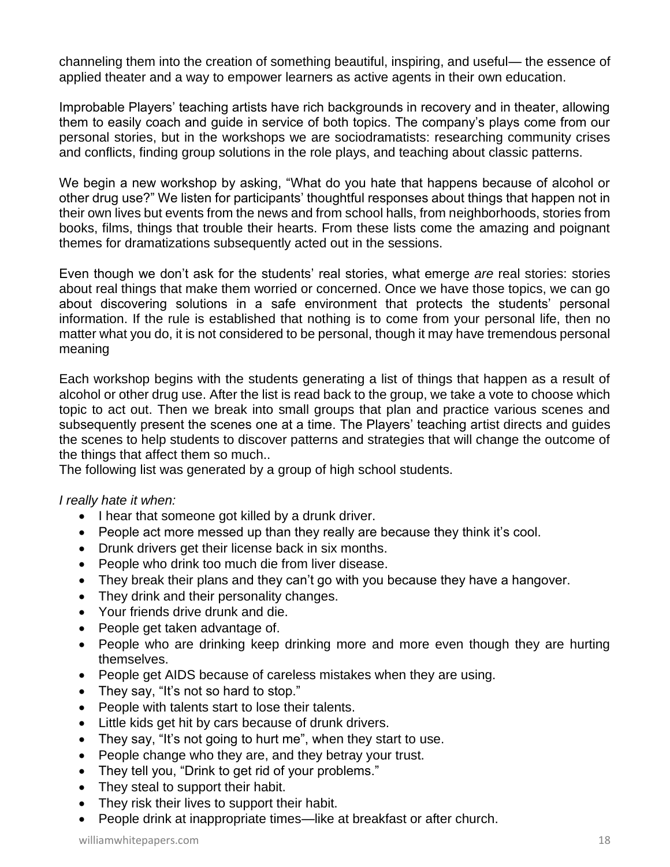channeling them into the creation of something beautiful, inspiring, and useful— the essence of applied theater and a way to empower learners as active agents in their own education.

Improbable Players' teaching artists have rich backgrounds in recovery and in theater, allowing them to easily coach and guide in service of both topics. The company's plays come from our personal stories, but in the workshops we are sociodramatists: researching community crises and conflicts, finding group solutions in the role plays, and teaching about classic patterns.

We begin a new workshop by asking, "What do you hate that happens because of alcohol or other drug use?" We listen for participants' thoughtful responses about things that happen not in their own lives but events from the news and from school halls, from neighborhoods, stories from books, films, things that trouble their hearts. From these lists come the amazing and poignant themes for dramatizations subsequently acted out in the sessions.

Even though we don't ask for the students' real stories, what emerge *are* real stories: stories about real things that make them worried or concerned. Once we have those topics, we can go about discovering solutions in a safe environment that protects the students' personal information. If the rule is established that nothing is to come from your personal life, then no matter what you do, it is not considered to be personal, though it may have tremendous personal meaning

Each workshop begins with the students generating a list of things that happen as a result of alcohol or other drug use. After the list is read back to the group, we take a vote to choose which topic to act out. Then we break into small groups that plan and practice various scenes and subsequently present the scenes one at a time. The Players' teaching artist directs and guides the scenes to help students to discover patterns and strategies that will change the outcome of the things that affect them so much..

The following list was generated by a group of high school students.

#### *I really hate it when:*

- I hear that someone got killed by a drunk driver.
- People act more messed up than they really are because they think it's cool.
- Drunk drivers get their license back in six months.
- People who drink too much die from liver disease.
- They break their plans and they can't go with you because they have a hangover.
- They drink and their personality changes.
- Your friends drive drunk and die.
- People get taken advantage of.
- People who are drinking keep drinking more and more even though they are hurting themselves.
- People get AIDS because of careless mistakes when they are using.
- They say, "It's not so hard to stop."
- People with talents start to lose their talents.
- Little kids get hit by cars because of drunk drivers.
- They say, "It's not going to hurt me", when they start to use.
- People change who they are, and they betray your trust.
- They tell you, "Drink to get rid of your problems."
- They steal to support their habit.
- They risk their lives to support their habit.
- People drink at inappropriate times—like at breakfast or after church.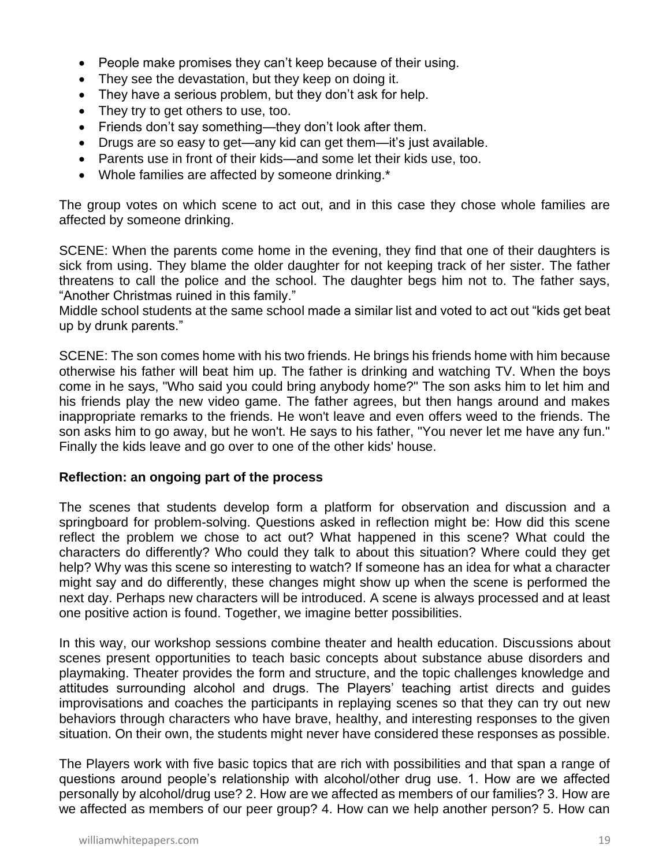- People make promises they can't keep because of their using.
- They see the devastation, but they keep on doing it.
- They have a serious problem, but they don't ask for help.
- They try to get others to use, too.
- Friends don't say something—they don't look after them.
- Drugs are so easy to get—any kid can get them—it's just available.
- Parents use in front of their kids—and some let their kids use, too.
- Whole families are affected by someone drinking.\*

The group votes on which scene to act out, and in this case they chose whole families are affected by someone drinking.

SCENE: When the parents come home in the evening, they find that one of their daughters is sick from using. They blame the older daughter for not keeping track of her sister. The father threatens to call the police and the school. The daughter begs him not to. The father says, "Another Christmas ruined in this family."

Middle school students at the same school made a similar list and voted to act out "kids get beat up by drunk parents."

SCENE: The son comes home with his two friends. He brings his friends home with him because otherwise his father will beat him up. The father is drinking and watching TV. When the boys come in he says, "Who said you could bring anybody home?" The son asks him to let him and his friends play the new video game. The father agrees, but then hangs around and makes inappropriate remarks to the friends. He won't leave and even offers weed to the friends. The son asks him to go away, but he won't. He says to his father, "You never let me have any fun." Finally the kids leave and go over to one of the other kids' house.

#### **Reflection: an ongoing part of the process**

The scenes that students develop form a platform for observation and discussion and a springboard for problem-solving. Questions asked in reflection might be: How did this scene reflect the problem we chose to act out? What happened in this scene? What could the characters do differently? Who could they talk to about this situation? Where could they get help? Why was this scene so interesting to watch? If someone has an idea for what a character might say and do differently, these changes might show up when the scene is performed the next day. Perhaps new characters will be introduced. A scene is always processed and at least one positive action is found. Together, we imagine better possibilities.

In this way, our workshop sessions combine theater and health education. Discussions about scenes present opportunities to teach basic concepts about substance abuse disorders and playmaking. Theater provides the form and structure, and the topic challenges knowledge and attitudes surrounding alcohol and drugs. The Players' teaching artist directs and guides improvisations and coaches the participants in replaying scenes so that they can try out new behaviors through characters who have brave, healthy, and interesting responses to the given situation. On their own, the students might never have considered these responses as possible.

The Players work with five basic topics that are rich with possibilities and that span a range of questions around people's relationship with alcohol/other drug use. 1. How are we affected personally by alcohol/drug use? 2. How are we affected as members of our families? 3. How are we affected as members of our peer group? 4. How can we help another person? 5. How can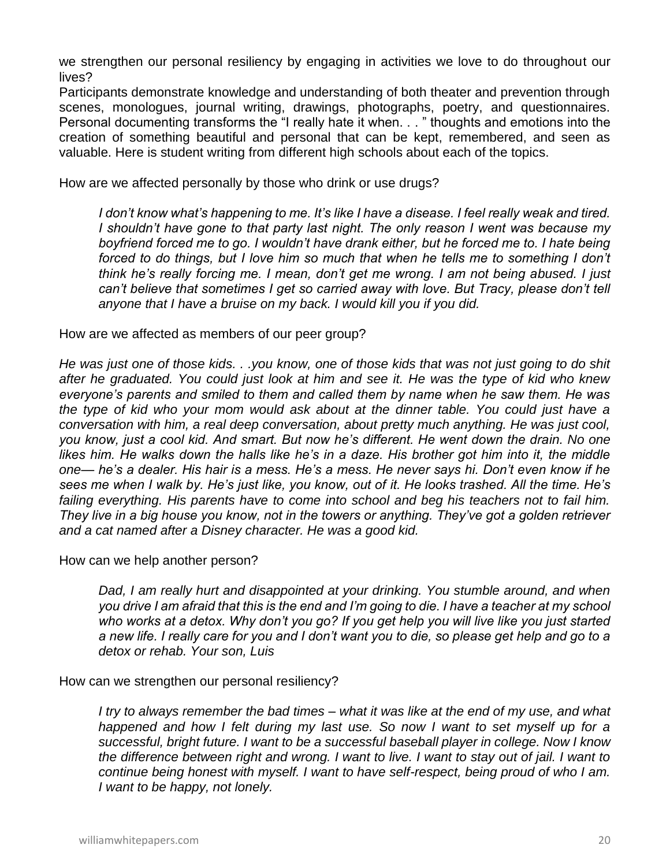we strengthen our personal resiliency by engaging in activities we love to do throughout our lives?

Participants demonstrate knowledge and understanding of both theater and prevention through scenes, monologues, journal writing, drawings, photographs, poetry, and questionnaires. Personal documenting transforms the "I really hate it when. . . " thoughts and emotions into the creation of something beautiful and personal that can be kept, remembered, and seen as valuable. Here is student writing from different high schools about each of the topics.

How are we affected personally by those who drink or use drugs?

*I don't know what's happening to me. It's like I have a disease. I feel really weak and tired. I shouldn't have gone to that party last night. The only reason I went was because my boyfriend forced me to go. I wouldn't have drank either, but he forced me to. I hate being*  forced to do things, but I love him so much that when he tells me to something I don't *think he's really forcing me. I mean, don't get me wrong. I am not being abused. I just can't believe that sometimes I get so carried away with love. But Tracy, please don't tell anyone that I have a bruise on my back. I would kill you if you did.* 

How are we affected as members of our peer group?

*He was just one of those kids. . .you know, one of those kids that was not just going to do shit after he graduated. You could just look at him and see it. He was the type of kid who knew everyone's parents and smiled to them and called them by name when he saw them. He was the type of kid who your mom would ask about at the dinner table. You could just have a conversation with him, a real deep conversation, about pretty much anything. He was just cool, you know, just a cool kid. And smart. But now he's different. He went down the drain. No one likes him. He walks down the halls like he's in a daze. His brother got him into it, the middle one— he's a dealer. His hair is a mess. He's a mess. He never says hi. Don't even know if he sees me when I walk by. He's just like, you know, out of it. He looks trashed. All the time. He's*  failing everything. His parents have to come into school and beg his teachers not to fail him. *They live in a big house you know, not in the towers or anything. They've got a golden retriever and a cat named after a Disney character. He was a good kid.* 

How can we help another person?

*Dad, I am really hurt and disappointed at your drinking. You stumble around, and when you drive I am afraid that this is the end and I'm going to die. I have a teacher at my school who works at a detox. Why don't you go? If you get help you will live like you just started a new life. I really care for you and I don't want you to die, so please get help and go to a detox or rehab. Your son, Luis* 

How can we strengthen our personal resiliency?

*I try to always remember the bad times – what it was like at the end of my use, and what happened and how I felt during my last use. So now I want to set myself up for a successful, bright future. I want to be a successful baseball player in college. Now I know the difference between right and wrong. I want to live. I want to stay out of jail. I want to continue being honest with myself. I want to have self-respect, being proud of who I am. I want to be happy, not lonely.*